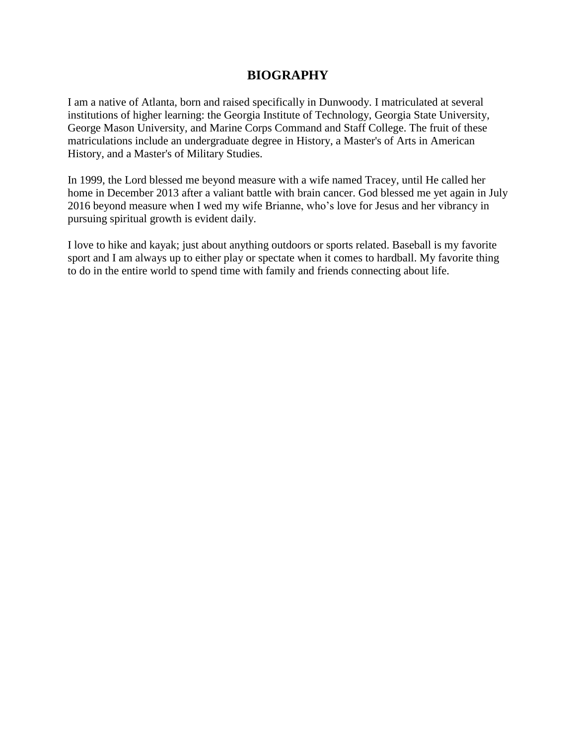## **BIOGRAPHY**

I am a native of Atlanta, born and raised specifically in Dunwoody. I matriculated at several institutions of higher learning: the Georgia Institute of Technology, Georgia State University, George Mason University, and Marine Corps Command and Staff College. The fruit of these matriculations include an undergraduate degree in History, a Master's of Arts in American History, and a Master's of Military Studies.

In 1999, the Lord blessed me beyond measure with a wife named Tracey, until He called her home in December 2013 after a valiant battle with brain cancer. God blessed me yet again in July 2016 beyond measure when I wed my wife Brianne, who's love for Jesus and her vibrancy in pursuing spiritual growth is evident daily.

I love to hike and kayak; just about anything outdoors or sports related. Baseball is my favorite sport and I am always up to either play or spectate when it comes to hardball. My favorite thing to do in the entire world to spend time with family and friends connecting about life.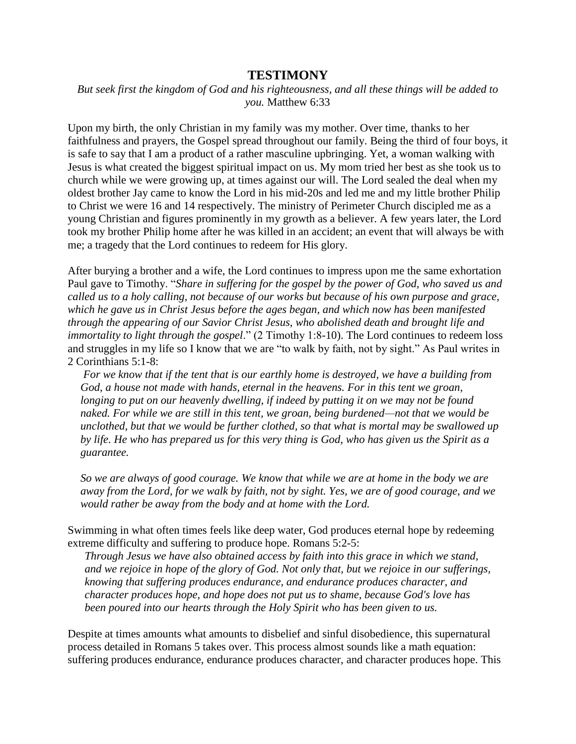## **TESTIMONY**

*But seek first the kingdom of God and his righteousness, and all these things will be added to you.* Matthew 6:33

Upon my birth, the only Christian in my family was my mother. Over time, thanks to her faithfulness and prayers, the Gospel spread throughout our family. Being the third of four boys, it is safe to say that I am a product of a rather masculine upbringing. Yet, a woman walking with Jesus is what created the biggest spiritual impact on us. My mom tried her best as she took us to church while we were growing up, at times against our will. The Lord sealed the deal when my oldest brother Jay came to know the Lord in his mid-20s and led me and my little brother Philip to Christ we were 16 and 14 respectively. The ministry of Perimeter Church discipled me as a young Christian and figures prominently in my growth as a believer. A few years later, the Lord took my brother Philip home after he was killed in an accident; an event that will always be with me; a tragedy that the Lord continues to redeem for His glory.

After burying a brother and a wife, the Lord continues to impress upon me the same exhortation Paul gave to Timothy. "*Share in suffering for the gospel by the power of God, who saved us and called us to a holy calling, not because of our works but because of his own purpose and grace, which he gave us in Christ Jesus before the ages began, and which now has been manifested through the appearing of our Savior Christ Jesus, who abolished death and brought life and immortality to light through the gospel*." (2 Timothy 1:8-10). The Lord continues to redeem loss and struggles in my life so I know that we are "to walk by faith, not by sight." As Paul writes in 2 Corinthians 5:1-8:

*For we know that if the tent that is our earthly home is destroyed, we have a building from God, a house not made with hands, eternal in the heavens. For in this tent we groan,*  longing to put on our heavenly dwelling, if indeed by putting it on we may not be found *naked. For while we are still in this tent, we groan, being burdened—not that we would be unclothed, but that we would be further clothed, so that what is mortal may be swallowed up by life. He who has prepared us for this very thing is God, who has given us the Spirit as a guarantee.*

*So we are always of good courage. We know that while we are at home in the body we are away from the Lord, for we walk by faith, not by sight. Yes, we are of good courage, and we would rather be away from the body and at home with the Lord.*

Swimming in what often times feels like deep water, God produces eternal hope by redeeming extreme difficulty and suffering to produce hope. Romans 5:2-5:

*Through Jesus we have also obtained access by faith into this grace in which we stand, and we rejoice in hope of the glory of God. Not only that, but we rejoice in our sufferings, knowing that suffering produces endurance, and endurance produces character, and character produces hope, and hope does not put us to shame, because God's love has been poured into our hearts through the Holy Spirit who has been given to us.*

Despite at times amounts what amounts to disbelief and sinful disobedience, this supernatural process detailed in Romans 5 takes over. This process almost sounds like a math equation: suffering produces endurance, endurance produces character, and character produces hope. This